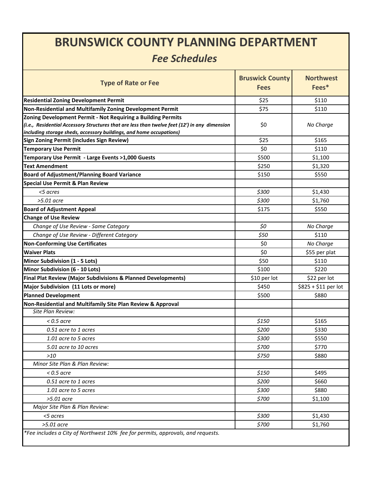## **BRUNSWICK COUNTY PLANNING DEPARTMENT**

## *Fee Schedules*

| <b>Type of Rate or Fee</b>                                                                      | <b>Bruswick County</b><br><b>Fees</b> | <b>Northwest</b><br>Fees* |
|-------------------------------------------------------------------------------------------------|---------------------------------------|---------------------------|
| <b>Residential Zoning Development Permit</b>                                                    | \$25                                  | \$110                     |
| Non-Residential and Multifamily Zoning Development Permit                                       | \$75                                  | \$110                     |
| Zoning Development Permit - Not Requiring a Building Permits                                    |                                       |                           |
| (i.e., Residential Accessory Structures that are less than twelve feet (12') in any dimension   | \$0                                   | No Charge                 |
| including storage sheds, accessory buildings, and home occupations)                             |                                       |                           |
| Sign Zoning Permit (includes Sign Review)                                                       | \$25                                  | \$165                     |
| <b>Temporary Use Permit</b>                                                                     | \$0                                   | \$110                     |
| Temporary Use Permit - Large Events >1,000 Guests<br><b>Text Amendment</b>                      | \$500<br>\$250                        | \$1,100                   |
|                                                                                                 |                                       | \$1,320                   |
| <b>Board of Adjustment/Planning Board Variance</b>                                              | \$150                                 | \$550                     |
| <b>Special Use Permit &amp; Plan Review</b>                                                     |                                       |                           |
| <5 acres                                                                                        | \$300                                 | \$1,430                   |
| $>5.01$ acre                                                                                    | \$300                                 | \$1,760                   |
| <b>Board of Adjustment Appeal</b>                                                               | \$175                                 | \$550                     |
| <b>Change of Use Review</b>                                                                     |                                       |                           |
| Change of Use Review - Same Category                                                            | \$0                                   | No Charge                 |
| Change of Use Review - Different Category                                                       | \$50                                  | \$110                     |
| <b>Non-Conforming Use Certificates</b>                                                          | \$0                                   | No Charge                 |
| <b>Waiver Plats</b>                                                                             | \$0                                   | \$55 per plat             |
| Minor Subdivision (1 - 5 Lots)                                                                  | \$50                                  | \$110                     |
| Minor Subdivision (6 - 10 Lots)                                                                 | \$100                                 | \$220                     |
| Final Plat Review (Major Subdivisions & Planned Developments)                                   | \$10 per lot                          | \$22 per lot              |
| Major Subdivision (11 Lots or more)                                                             | \$450                                 | \$825 + \$11 per lot      |
| <b>Planned Development</b>                                                                      | \$500                                 | \$880                     |
| Non-Residential and Multifamily Site Plan Review & Approval<br>Site Plan Review:                |                                       |                           |
|                                                                                                 |                                       |                           |
| $<$ 0.5 acre                                                                                    | \$150                                 | \$165                     |
| 0.51 acre to 1 acres                                                                            | \$200                                 | \$330                     |
| 1.01 acre to 5 acres                                                                            | \$300                                 | \$550                     |
| 5.01 acre to 10 acres                                                                           | \$700                                 | \$770                     |
| $>10$                                                                                           | \$750                                 | \$880                     |
| Minor Site Plan & Plan Review:                                                                  |                                       |                           |
| $<$ 0.5 acre                                                                                    | \$150                                 | \$495                     |
| 0.51 acre to 1 acres                                                                            | \$200                                 | \$660                     |
| 1.01 acre to 5 acres                                                                            | \$300                                 | \$880                     |
| $>5.01$ acre                                                                                    | \$700                                 | \$1,100                   |
| Major Site Plan & Plan Review:                                                                  |                                       |                           |
| <5 acres                                                                                        | \$300                                 | \$1,430                   |
| $>5.01$ acre<br>*Fee includes a City of Northwest 10% fee for permits, approvals, and requests. | \$700                                 | \$1,760                   |

I